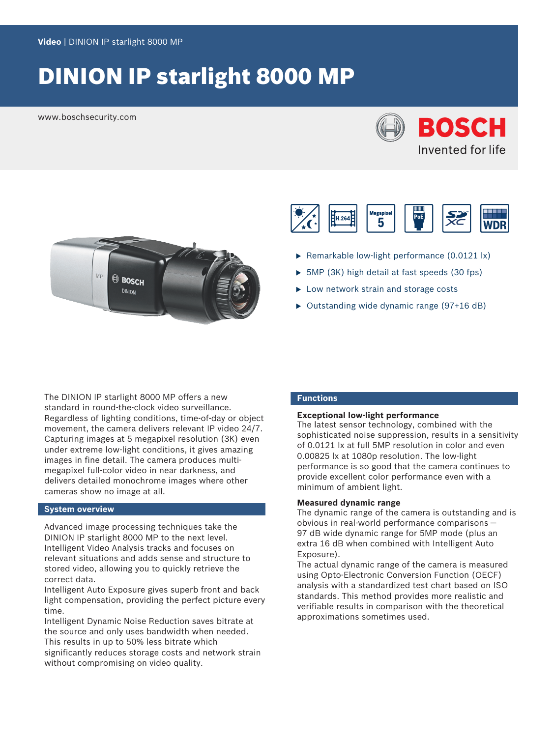# DINION IP starlight 8000 MP

www.boschsecurity.com







- $\triangleright$  Remarkable low-light performance (0.0121 lx)
- $\triangleright$  5MP (3K) high detail at fast speeds (30 fps)
- $\blacktriangleright$  Low network strain and storage costs
- $\triangleright$  Outstanding wide dynamic range (97+16 dB)

The DINION IP starlight 8000 MP offers a new standard in round-the-clock video surveillance. Regardless of lighting conditions, time-of-day or object movement, the camera delivers relevant IP video 24/7. Capturing images at 5 megapixel resolution (3K) even under extreme low-light conditions, it gives amazing images in fine detail. The camera produces multimegapixel full-color video in near darkness, and delivers detailed monochrome images where other cameras show no image at all.

# **System overview**

Advanced image processing techniques take the DINION IP starlight 8000 MP to the next level. Intelligent Video Analysis tracks and focuses on relevant situations and adds sense and structure to stored video, allowing you to quickly retrieve the correct data.

Intelligent Auto Exposure gives superb front and back light compensation, providing the perfect picture every time.

Intelligent Dynamic Noise Reduction saves bitrate at the source and only uses bandwidth when needed. This results in up to 50% less bitrate which significantly reduces storage costs and network strain without compromising on video quality.

# **Functions**

# **Exceptional low-light performance**

The latest sensor technology, combined with the sophisticated noise suppression, results in a sensitivity of 0.0121 lx at full 5MP resolution in color and even 0.00825 lx at 1080p resolution. The low-light performance is so good that the camera continues to provide excellent color performance even with a minimum of ambient light.

# **Measured dynamic range**

The dynamic range of the camera is outstanding and is obvious in real-world performance comparisons — 97 dB wide dynamic range for 5MP mode (plus an extra 16 dB when combined with Intelligent Auto Exposure).

The actual dynamic range of the camera is measured using Opto-Electronic Conversion Function (OECF) analysis with a standardized test chart based on ISO standards. This method provides more realistic and verifiable results in comparison with the theoretical approximations sometimes used.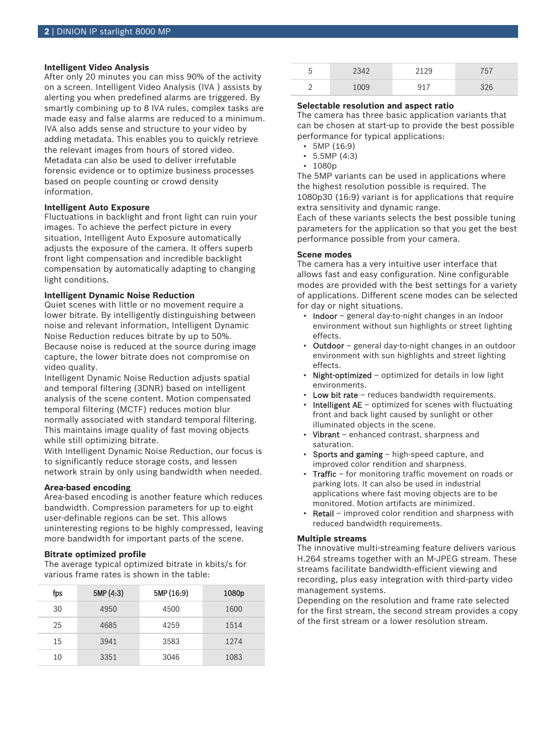# **Intelligent Video Analysis**

After only 20 minutes you can miss 90% of the activity on a screen. Intelligent Video Analysis (IVA ) assists by alerting you when predefined alarms are triggered. By smartly combining up to 8 IVA rules, complex tasks are made easy and false alarms are reduced to a minimum. IVA also adds sense and structure to your video by adding metadata. This enables you to quickly retrieve the relevant images from hours of stored video. Metadata can also be used to deliver irrefutable forensic evidence or to optimize business processes based on people counting or crowd density information.

# **Intelligent Auto Exposure**

Fluctuations in backlight and front light can ruin your images. To achieve the perfect picture in every situation, Intelligent Auto Exposure automatically adjusts the exposure of the camera. It offers superb front light compensation and incredible backlight compensation by automatically adapting to changing light conditions.

# **Intelligent Dynamic Noise Reduction**

Quiet scenes with little or no movement require a lower bitrate. By intelligently distinguishing between noise and relevant information, Intelligent Dynamic Noise Reduction reduces bitrate by up to 50%. Because noise is reduced at the source during image capture, the lower bitrate does not compromise on video quality.

Intelligent Dynamic Noise Reduction adjusts spatial and temporal filtering (3DNR) based on intelligent analysis of the scene content. Motion compensated temporal filtering (MCTF) reduces motion blur normally associated with standard temporal filtering. This maintains image quality of fast moving objects while still optimizing bitrate.

With Intelligent Dynamic Noise Reduction, our focus is to significantly reduce storage costs, and lessen network strain by only using bandwidth when needed.

# **Area-based encoding**

Area-based encoding is another feature which reduces bandwidth. Compression parameters for up to eight user-definable regions can be set. This allows uninteresting regions to be highly compressed, leaving more bandwidth for important parts of the scene.

# **Bitrate optimized profile**

The average typical optimized bitrate in kbits/s for various frame rates is shown in the table:

| fps | 5MP (4:3) | 5MP (16:9) | 1080p |
|-----|-----------|------------|-------|
| 30  | 4950      | 4500       | 1600  |
| 25  | 4685      | 4259       | 1514  |
| 15  | 3941      | 3583       | 1274  |
| 10  | 3351      | 3046       | 1083  |

| $\mathsf{h}$<br>◡ | 2342 | 2129   | 757 |
|-------------------|------|--------|-----|
| -<br>-            | 1009 | $Q1^-$ | 326 |

# **Selectable resolution and aspect ratio**

The camera has three basic application variants that can be chosen at start-up to provide the best possible performance for typical applications:

- 5MP (16:9)
- 5.5MP (4:3)
- 1080p

The 5MP variants can be used in applications where the highest resolution possible is required. The 1080p30 (16:9) variant is for applications that require extra sensitivity and dynamic range.

Each of these variants selects the best possible tuning parameters for the application so that you get the best performance possible from your camera.

#### **Scene modes**

The camera has a very intuitive user interface that allows fast and easy configuration. Nine configurable modes are provided with the best settings for a variety of applications. Different scene modes can be selected for day or night situations.

- Indoor general day-to-night changes in an indoor environment without sun highlights or street lighting effects.
- Outdoor general day-to-night changes in an outdoor environment with sun highlights and street lighting effects.
- Night-optimized optimized for details in low light environments.
- Low bit rate reduces bandwidth requirements.
- Intelligent  $AE$  optimized for scenes with fluctuating front and back light caused by sunlight or other illuminated objects in the scene.
- Vibrant enhanced contrast, sharpness and saturation.
- Sports and gaming high-speed capture, and improved color rendition and sharpness.
- Traffic for monitoring traffic movement on roads or parking lots. It can also be used in industrial applications where fast moving objects are to be monitored. Motion artifacts are minimized.
- **Retail** improved color rendition and sharpness with reduced bandwidth requirements.

# **Multiple streams**

The innovative multi-streaming feature delivers various H.264 streams together with an M‑JPEG stream. These streams facilitate bandwidth-efficient viewing and recording, plus easy integration with third-party video management systems.

Depending on the resolution and frame rate selected for the first stream, the second stream provides a copy of the first stream or a lower resolution stream.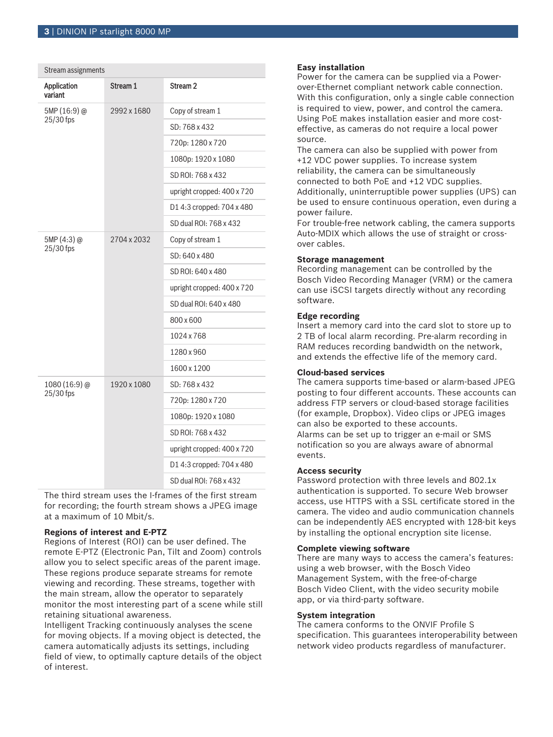| Stream assignments     |             |                            |
|------------------------|-------------|----------------------------|
| Application<br>variant | Stream 1    | Stream <sub>2</sub>        |
| 5MP (16:9) @           | 2992 x 1680 | Copy of stream 1           |
| 25/30 fps              |             | SD: 768 x 432              |
|                        |             | 720p: 1280 x 720           |
|                        |             | 1080p: 1920 x 1080         |
|                        |             | SD ROI: 768 x 432          |
|                        |             | upright cropped: 400 x 720 |
|                        |             | D14:3 cropped: 704 x 480   |
|                        |             | SD dual ROI: 768 x 432     |
| 5MP (4:3) @            | 2704 x 2032 | Copy of stream 1           |
| 25/30 fps              |             | SD: 640 x 480              |
|                        |             | SD ROI: 640 x 480          |
|                        |             | upright cropped: 400 x 720 |
|                        |             | SD dual ROI: 640 x 480     |
|                        |             | 800 x 600                  |
|                        |             | 1024 x 768                 |
|                        |             | 1280 x 960                 |
|                        |             | 1600 x 1200                |
| 1080 (16:9) @          | 1920 x 1080 | SD: 768 x 432              |
| 25/30 fps              |             | 720p: 1280 x 720           |
|                        |             | 1080p: 1920 x 1080         |
|                        |             | SD ROI: 768 x 432          |
|                        |             | upright cropped: 400 x 720 |
|                        |             | D14:3 cropped: 704 x 480   |
|                        |             | SD dual ROI: 768 x 432     |

The third stream uses the I-frames of the first stream for recording; the fourth stream shows a JPEG image at a maximum of 10 Mbit/s.

# **Regions of interest and E-PTZ**

Regions of Interest (ROI) can be user defined. The remote E-PTZ (Electronic Pan, Tilt and Zoom) controls allow you to select specific areas of the parent image. These regions produce separate streams for remote viewing and recording. These streams, together with the main stream, allow the operator to separately monitor the most interesting part of a scene while still retaining situational awareness.

Intelligent Tracking continuously analyses the scene for moving objects. If a moving object is detected, the camera automatically adjusts its settings, including field of view, to optimally capture details of the object of interest.

# **Easy installation**

Power for the camera can be supplied via a Powerover-Ethernet compliant network cable connection. With this configuration, only a single cable connection is required to view, power, and control the camera. Using PoE makes installation easier and more costeffective, as cameras do not require a local power source.

The camera can also be supplied with power from +12 VDC power supplies. To increase system reliability, the camera can be simultaneously connected to both PoE and +12 VDC supplies. Additionally, uninterruptible power supplies (UPS) can be used to ensure continuous operation, even during a power failure.

For trouble-free network cabling, the camera supports Auto-MDIX which allows the use of straight or crossover cables.

# **Storage management**

Recording management can be controlled by the Bosch Video Recording Manager (VRM) or the camera can use iSCSI targets directly without any recording software.

# **Edge recording**

Insert a memory card into the card slot to store up to 2 TB of local alarm recording. Pre-alarm recording in RAM reduces recording bandwidth on the network, and extends the effective life of the memory card.

# **Cloud-based services**

The camera supports time-based or alarm-based JPEG posting to four different accounts. These accounts can address FTP servers or cloud-based storage facilities (for example, Dropbox). Video clips or JPEG images can also be exported to these accounts. Alarms can be set up to trigger an e-mail or SMS notification so you are always aware of abnormal events.

# **Access security**

Password protection with three levels and 802.1x authentication is supported. To secure Web browser access, use HTTPS with a SSL certificate stored in the camera. The video and audio communication channels can be independently AES encrypted with 128-bit keys by installing the optional encryption site license.

# **Complete viewing software**

There are many ways to access the camera's features: using a web browser, with the Bosch Video Management System, with the free-of-charge Bosch Video Client, with the video security mobile app, or via third-party software.

# **System integration**

The camera conforms to the ONVIF Profile S specification. This guarantees interoperability between network video products regardless of manufacturer.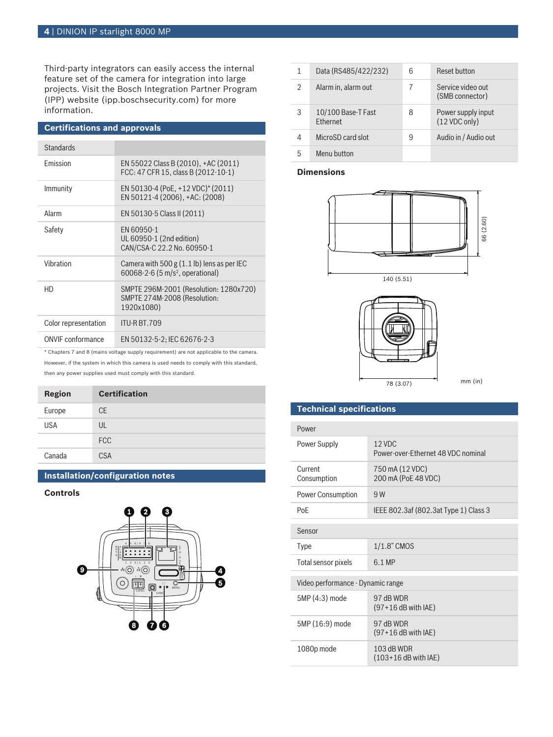Third-party integrators can easily access the internal feature set of the camera for integration into large projects. Visit the Bosch Integration Partner Program (IPP) website (ipp.boschsecurity.com) for more information.

| <b>Certifications and approvals</b> |                                                                                              |  |
|-------------------------------------|----------------------------------------------------------------------------------------------|--|
| <b>Standards</b>                    |                                                                                              |  |
| Emission                            | EN 55022 Class B (2010), +AC (2011)<br>FCC: 47 CFR 15. class B (2012-10-1)                   |  |
| Immunity                            | EN 50130-4 (PoE, +12 VDC)* (2011)<br>EN 50121-4 (2006), +AC: (2008)                          |  |
| Alarm                               | EN 50130-5 Class II (2011)                                                                   |  |
| Safety                              | EN 60950-1<br>UL 60950-1 (2nd edition)<br>CAN/CSA-C 22.2 No. 60950-1                         |  |
| Vibration                           | Camera with 500 $g$ (1.1 lb) lens as per IEC<br>60068-2-6 (5 m/s <sup>2</sup> , operational) |  |
| HD                                  | SMPTE 296M-2001 (Resolution: 1280x720)<br>SMPTE 274M-2008 (Resolution:<br>1920x1080)         |  |
| Color representation                | ITU-R BT.709                                                                                 |  |
| <b>ONVIF</b> conformance            | EN 50132-5-2; IEC 62676-2-3                                                                  |  |

\* Chapters 7 and 8 (mains voltage supply requirement) are not applicable to the camera.

However, if the system in which this camera is used needs to comply with this standard, then any power supplies used must comply with this standard.

| <b>Region</b> | <b>Certification</b> |
|---------------|----------------------|
| Europe        | <b>CE</b>            |
| <b>USA</b>    | UL                   |
|               | <b>FCC</b>           |
| Canada        | <b>CSA</b>           |

# **Installation/configuration notes**

# **Controls**



| 1              | Data (RS485/422/232)                  | 6 | Reset button                         |
|----------------|---------------------------------------|---|--------------------------------------|
| $\mathfrak{D}$ | Alarm in, alarm out                   |   | Service video out<br>(SMB connector) |
| 3              | 10/100 Base-T Fast<br><b>Fthernet</b> | 8 | Power supply input<br>(12 VDC only)  |
| 4              | MicroSD card slot                     | 9 | Audio in / Audio out                 |
| 5              | Menu button                           |   |                                      |

# **Dimensions**





 $mm$  (in)

# **Technical specifications**

| Power                             |                                                |  |
|-----------------------------------|------------------------------------------------|--|
| Power Supply                      | $12$ VDC<br>Power-over-Ethernet 48 VDC nominal |  |
| Current<br>Consumption            | 750 mA (12 VDC)<br>200 mA (PoE 48 VDC)         |  |
| <b>Power Consumption</b>          | 9 W                                            |  |
| PoF                               | IEEE 802.3af (802.3at Type 1) Class 3          |  |
| Sensor                            |                                                |  |
| <b>Type</b>                       | $1/1.8$ " CMOS                                 |  |
| Total sensor pixels               | 6.1 MP                                         |  |
| Video performance - Dynamic range |                                                |  |
| 5MP (4:3) mode                    | 97 dB WDR<br>$(97+16$ dB with IAE)             |  |
| 5MP (16:9) mode                   | 97 dB WDR<br>$(97+16$ dB with IAE)             |  |
| 1080p mode                        | 103 dB WDR<br>$(103+16$ dB with IAE)           |  |
|                                   |                                                |  |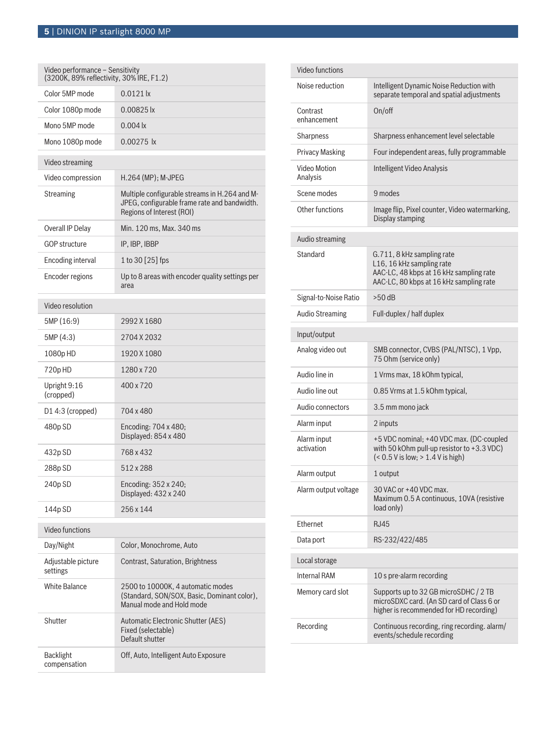| Video performance - Sensitivity<br>(3200K, 89% reflectivity, 30% IRE, F1.2) |                                                                                                                            |  |  |
|-----------------------------------------------------------------------------|----------------------------------------------------------------------------------------------------------------------------|--|--|
| Color 5MP mode                                                              | $0.0121$ lx                                                                                                                |  |  |
| Color 1080p mode                                                            | 0.00825 lx                                                                                                                 |  |  |
| Mono 5MP mode                                                               | $0.004 \text{ k}$                                                                                                          |  |  |
| Mono 1080p mode                                                             | $0.00275$  x                                                                                                               |  |  |
| Video streaming                                                             |                                                                                                                            |  |  |
| Video compression                                                           | $H.264$ (MP); M-JPEG                                                                                                       |  |  |
| <b>Streaming</b>                                                            | Multiple configurable streams in H.264 and M-<br>JPEG, configurable frame rate and bandwidth.<br>Regions of Interest (ROI) |  |  |
| Overall IP Delay                                                            | Min. 120 ms, Max. 340 ms                                                                                                   |  |  |
| <b>GOP structure</b>                                                        | IP, IBP, IBBP                                                                                                              |  |  |
| Encoding interval                                                           | 1 to 30 [25] fps                                                                                                           |  |  |
| Encoder regions                                                             | Up to 8 areas with encoder quality settings per<br>area                                                                    |  |  |
| Video resolution                                                            |                                                                                                                            |  |  |
| 5MP (16:9)                                                                  | 2992 X 1680                                                                                                                |  |  |
| 5MP (4:3)                                                                   | 2704 X 2032                                                                                                                |  |  |
| 1080pHD                                                                     | 1920 X 1080                                                                                                                |  |  |
| 720pHD                                                                      | 1280 x 720                                                                                                                 |  |  |
| Upright 9:16<br>(cropped)                                                   | 400 x 720                                                                                                                  |  |  |
| $D1$ 4:3 (cropped)                                                          | 704 x 480                                                                                                                  |  |  |
| 480p SD                                                                     | Encoding: 704 x 480;<br>Displayed: 854 x 480                                                                               |  |  |
| 432p SD                                                                     | 768 x 432                                                                                                                  |  |  |
| 288p SD                                                                     | 512 x 288                                                                                                                  |  |  |
| 240p SD                                                                     | Encoding: 352 x 240;<br>Displayed: 432 x 240                                                                               |  |  |
| 144p SD                                                                     | 256 x 144                                                                                                                  |  |  |
| Video functions                                                             |                                                                                                                            |  |  |
| Day/Night                                                                   | Color, Monochrome, Auto                                                                                                    |  |  |
| Adjustable picture<br>settings                                              | <b>Contrast, Saturation, Brightness</b>                                                                                    |  |  |
| <b>White Balance</b>                                                        | 2500 to 10000K, 4 automatic modes<br>(Standard, SON/SOX, Basic, Dominant color),<br>Manual mode and Hold mode              |  |  |
| Shutter                                                                     | Automatic Electronic Shutter (AES)<br>Fixed (selectable)<br>Default shutter                                                |  |  |
| Backlight<br>compensation                                                   | Off, Auto, Intelligent Auto Exposure                                                                                       |  |  |

| Video functions           |                                                                                                                                               |
|---------------------------|-----------------------------------------------------------------------------------------------------------------------------------------------|
| Noise reduction           | Intelligent Dynamic Noise Reduction with<br>separate temporal and spatial adjustments                                                         |
| Contrast<br>enhancement   | On/off                                                                                                                                        |
| Sharpness                 | Sharpness enhancement level selectable                                                                                                        |
| <b>Privacy Masking</b>    | Four independent areas, fully programmable                                                                                                    |
| Video Motion<br>Analysis  | Intelligent Video Analysis                                                                                                                    |
| Scene modes               | 9 modes                                                                                                                                       |
| Other functions           | Image flip, Pixel counter, Video watermarking,<br>Display stamping                                                                            |
| Audio streaming           |                                                                                                                                               |
| Standard                  | G.711, 8 kHz sampling rate<br>L16, 16 kHz sampling rate<br>AAC-LC, 48 kbps at 16 kHz sampling rate<br>AAC-LC, 80 kbps at 16 kHz sampling rate |
| Signal-to-Noise Ratio     | $>50$ dB                                                                                                                                      |
| <b>Audio Streaming</b>    | Full-duplex / half duplex                                                                                                                     |
| Input/output              |                                                                                                                                               |
| Analog video out          | SMB connector, CVBS (PAL/NTSC), 1 Vpp,<br>75 Ohm (service only)                                                                               |
| Audio line in             | 1 Vrms max, 18 kOhm typical,                                                                                                                  |
| Audio line out            | 0.85 Vrms at 1.5 kOhm typical,                                                                                                                |
| Audio connectors          | 3.5 mm mono jack                                                                                                                              |
| Alarm input               | 2 inputs                                                                                                                                      |
| Alarm input<br>activation | +5 VDC nominal; +40 VDC max. (DC-coupled<br>with 50 kOhm pull-up resistor to +3.3 VDC)<br>$($ < 0.5 V is low; $> 1.4$ V is high)              |
| Alarm output              | 1 output                                                                                                                                      |
| Alarm output voltage      | 30 VAC or +40 VDC max.<br>Maximum 0.5 A continuous, 10VA (resistive<br>load only)                                                             |
| Ethernet                  | <b>RJ45</b>                                                                                                                                   |
| Data port                 | RS-232/422/485                                                                                                                                |
| Local storage             |                                                                                                                                               |
| <b>Internal RAM</b>       | 10 s pre-alarm recording                                                                                                                      |
| Memory card slot          | Supports up to 32 GB microSDHC / 2 TB<br>microSDXC card. (An SD card of Class 6 or<br>higher is recommended for HD recording)                 |
| Recording                 | Continuous recording, ring recording. alarm/<br>events/schedule recording                                                                     |
|                           |                                                                                                                                               |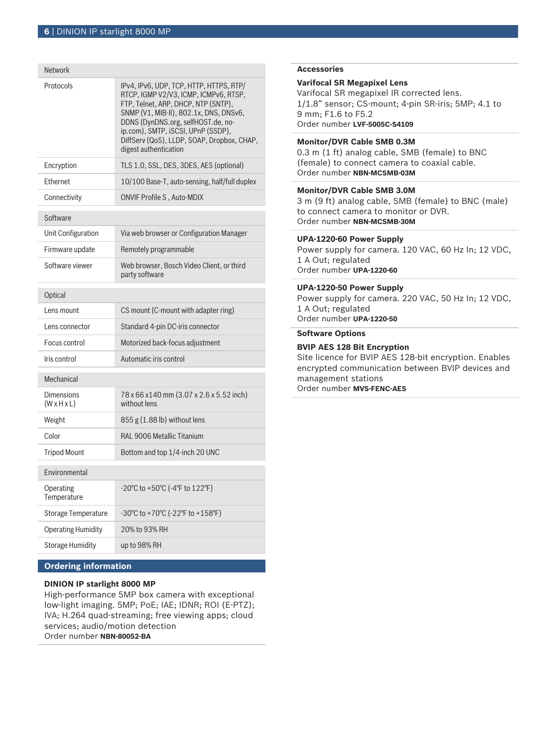| <b>Network</b>                        |                                                                                                                                                                                                                                                                                                                      |  |
|---------------------------------------|----------------------------------------------------------------------------------------------------------------------------------------------------------------------------------------------------------------------------------------------------------------------------------------------------------------------|--|
| Protocols                             | IPv4, IPv6, UDP, TCP, HTTP, HTTPS, RTP/<br>RTCP, IGMP V2/V3, ICMP, ICMPv6, RTSP,<br>FTP, Telnet, ARP, DHCP, NTP (SNTP),<br>SNMP (V1, MIB-II), 802.1x, DNS, DNSv6,<br>DDNS (DynDNS.org, selfHOST.de, no-<br>ip.com), SMTP, iSCSI, UPnP (SSDP),<br>DiffServ (QoS), LLDP, SOAP, Dropbox, CHAP,<br>digest authentication |  |
| Encryption                            | TLS 1.0, SSL, DES, 3DES, AES (optional)                                                                                                                                                                                                                                                                              |  |
| Ethernet                              | 10/100 Base-T, auto-sensing, half/full duplex                                                                                                                                                                                                                                                                        |  |
| Connectivity                          | <b>ONVIF Profile S, Auto-MDIX</b>                                                                                                                                                                                                                                                                                    |  |
| Software                              |                                                                                                                                                                                                                                                                                                                      |  |
| Unit Configuration                    | Via web browser or Configuration Manager                                                                                                                                                                                                                                                                             |  |
| Firmware update                       | Remotely programmable                                                                                                                                                                                                                                                                                                |  |
| Software viewer                       | Web browser, Bosch Video Client, or third<br>party software                                                                                                                                                                                                                                                          |  |
| Optical                               |                                                                                                                                                                                                                                                                                                                      |  |
| Lens mount                            | CS mount (C-mount with adapter ring)                                                                                                                                                                                                                                                                                 |  |
| Lens connector                        | Standard 4-pin DC-iris connector                                                                                                                                                                                                                                                                                     |  |
| Focus control                         | Motorized back-focus adjustment                                                                                                                                                                                                                                                                                      |  |
| Iris control                          | Automatic iris control                                                                                                                                                                                                                                                                                               |  |
| Mechanical                            |                                                                                                                                                                                                                                                                                                                      |  |
| Dimensions<br>$(W \times H \times L)$ | 78 x 66 x140 mm (3.07 x 2.6 x 5.52 inch)<br>without lens                                                                                                                                                                                                                                                             |  |
| Weight                                | $855$ g $(1.88$ lb) without lens                                                                                                                                                                                                                                                                                     |  |
| Color                                 | RAL 9006 Metallic Titanium                                                                                                                                                                                                                                                                                           |  |
| <b>Tripod Mount</b>                   | Bottom and top 1/4-inch 20 UNC                                                                                                                                                                                                                                                                                       |  |
| Environmental                         |                                                                                                                                                                                                                                                                                                                      |  |
| Operating<br>Temperature              | -20°C to +50°C (-4°F to 122°F)                                                                                                                                                                                                                                                                                       |  |
| <b>Storage Temperature</b>            | -30°C to +70°C (-22°F to +158°F)                                                                                                                                                                                                                                                                                     |  |
| <b>Operating Humidity</b>             | 20% to 93% RH                                                                                                                                                                                                                                                                                                        |  |
| <b>Storage Humidity</b>               | up to 98% RH                                                                                                                                                                                                                                                                                                         |  |

# **Ordering information**

# **DINION IP starlight 8000 MP**

High-performance 5MP box camera with exceptional low-light imaging. 5MP; PoE; IAE; IDNR; ROI (E-PTZ); IVA; H.264 quad-streaming; free viewing apps; cloud services; audio/motion detection Order number **NBN-80052-BA**

#### **Accessories**

# **Varifocal SR Megapixel Lens**

Varifocal SR megapixel IR corrected lens. 1/1.8" sensor; CS-mount; 4-pin SR-iris; 5MP; 4.1 to 9 mm; F1.6 to F5.2 Order number **LVF-5005C-S4109**

# **Monitor/DVR Cable SMB 0.3M**

0.3 m (1 ft) analog cable, SMB (female) to BNC (female) to connect camera to coaxial cable. Order number **NBN-MCSMB-03M**

# **Monitor/DVR Cable SMB 3.0M**

3 m (9 ft) analog cable, SMB (female) to BNC (male) to connect camera to monitor or DVR. Order number **NBN-MCSMB-30M**

#### **UPA-1220-60 Power Supply**

Power supply for camera. 120 VAC, 60 Hz In; 12 VDC, 1 A Out; regulated Order number **UPA-1220-60**

# **UPA-1220-50 Power Supply**

Power supply for camera. 220 VAC, 50 Hz In; 12 VDC, 1 A Out; regulated Order number **UPA-1220-50**

# **Software Options**

# **BVIP AES 128 Bit Encryption**

Site licence for BVIP AES 128‑bit encryption. Enables encrypted communication between BVIP devices and management stations Order number **MVS-FENC-AES**